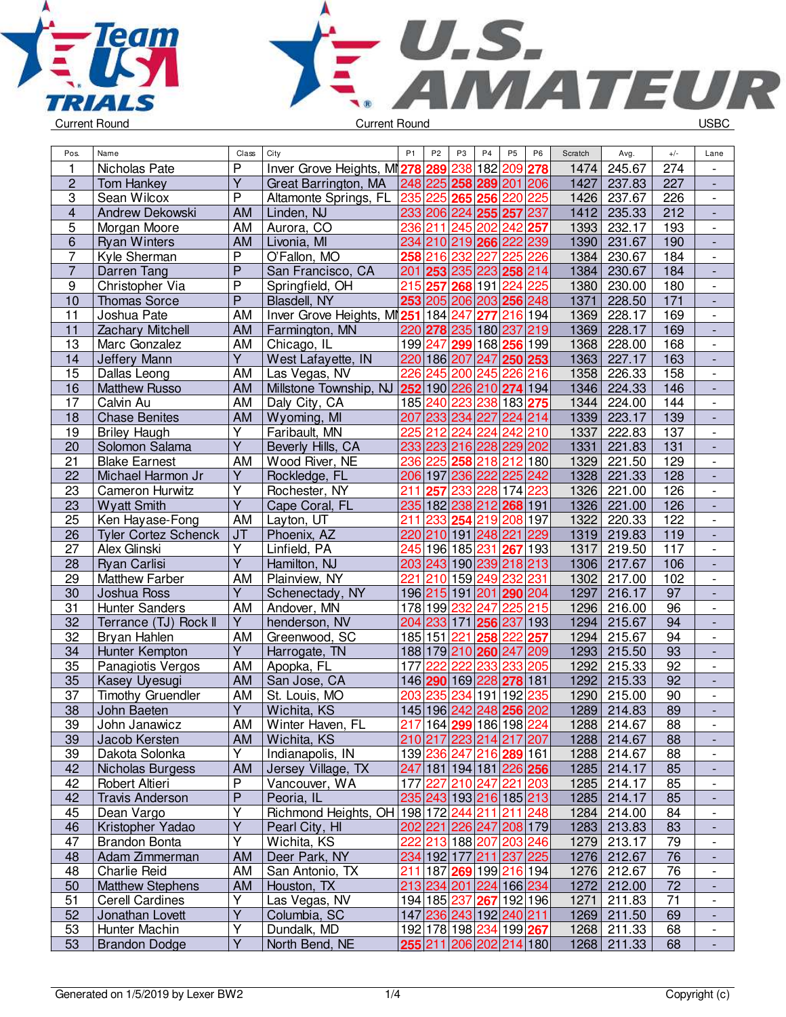



| Pos.                    | Name                        | Class                   | City                                           | P <sub>1</sub>   | P <sub>2</sub> | P <sub>3</sub> | P <sub>4</sub>                                        | P <sub>5</sub> | P <sub>6</sub> | Scratch | Avg.        | $+/-$           | Lane                     |
|-------------------------|-----------------------------|-------------------------|------------------------------------------------|------------------|----------------|----------------|-------------------------------------------------------|----------------|----------------|---------|-------------|-----------------|--------------------------|
| 1                       | Nicholas Pate               | P                       | Inver Grove Heights, MI278                     |                  | 289            | 238            | 182                                                   | 209 278        |                | 1474    | 245.67      | 274             |                          |
| $\overline{c}$          | <b>Tom Hankey</b>           | $\overline{\mathsf{Y}}$ | Great Barrington, MA                           |                  |                |                | 248 225 258 289 201 206                               |                |                | 1427    | 237.83      | 227             |                          |
| 3                       | Sean Wilcox                 | $\overline{P}$          | Altamonte Springs, FL                          | 235              | 225            | 265            | 256                                                   | 220 225        |                | 1426    | 237.67      | 226             | $\overline{\phantom{a}}$ |
| $\overline{\mathbf{4}}$ | Andrew Dekowski             | <b>AM</b>               | Linden, NJ                                     |                  |                |                | 233 206 224 255 257                                   |                | 237            | 1412    | 235.33      | 212             | $\blacksquare$           |
| 5                       | Morgan Moore                | AM                      | Aurora, CO                                     | 236              |                |                | 211 245 202 242 257                                   |                |                | 1393    | 232.17      | 193             | $\overline{\phantom{a}}$ |
| 6                       | <b>Ryan Winters</b>         | <b>AM</b>               | Livonia, MI                                    |                  |                |                | 234 210 219 266 222 239                               |                |                | 1390    | 231.67      | 190             |                          |
| $\overline{7}$          | Kyle Sherman                | P                       | O'Fallon, MO                                   |                  | 258 216        | 232            | 227                                                   | 225 226        |                | 1384    | 230.67      | 184             | $\blacksquare$           |
| $\overline{7}$          | Darren Tang                 | $\overline{P}$          | San Francisco, CA                              | 201              |                |                | 253 235 223 258 214                                   |                |                | 1384    | 230.67      | 184             | $\overline{a}$           |
| $\boldsymbol{9}$        | Christopher Via             | P                       | Springfield, OH                                | 215              | 257            |                | 268 191 224 225                                       |                |                | 1380    | 230.00      | 180             | $\overline{\phantom{a}}$ |
| 10                      | <b>Thomas Sorce</b>         | P                       | Blasdell, NY                                   |                  |                |                | 253 205 206 203 256 248                               |                |                | 1371    | 228.50      | 171             | $\overline{a}$           |
| 11                      | Joshua Pate                 | AM                      | Inver Grove Heights, MI251 184 247             |                  |                |                | 277                                                   | 216 194        |                | 1369    | 228.17      | 169             |                          |
| 11                      | <b>Zachary Mitchell</b>     | <b>AM</b>               | Farmington, MN                                 |                  |                |                | 220 278 235 180 237 219                               |                |                | 1369    | 228.17      | 169             |                          |
| 13                      | Marc Gonzalez               | AM                      | Chicago, IL                                    |                  |                |                | 199 247 299 168 256 199                               |                |                | 1368    | 228.00      | 168             | $\blacksquare$           |
| 14                      | Jeffery Mann                | $\overline{Y}$          | West Lafayette, IN                             |                  | 220 186 207    |                | 247 250 253                                           |                |                | 1363    | 227.17      | 163             | $\blacksquare$           |
| 15                      | Dallas Leong                | AM                      | Las Vegas, NV                                  | 226              |                |                | 245 200 245 226 216                                   |                |                | 1358    | 226.33      | 158             | $\overline{\phantom{a}}$ |
| 16                      | <b>Matthew Russo</b>        | <b>AM</b>               | Millstone Township, NJ 252 190 226 210 274 194 |                  |                |                |                                                       |                |                | 1346    | 224.33      | 146             | $\Box$                   |
| $\overline{17}$         | Calvin Au                   | AM                      | Daly City, CA                                  |                  | 185 240        | 223            | 238 183 275                                           |                |                | 1344    | 224.00      | 144             | $\blacksquare$           |
| 18                      | <b>Chase Benites</b>        | <b>AM</b>               | Wyoming, MI                                    | 207              |                |                | 233 234 227 224 214                                   |                |                | 1339    | 223.17      | 139             | $\blacksquare$           |
|                         |                             |                         |                                                | 225              | 212            | 224            |                                                       |                |                |         | 222.83      |                 |                          |
| 19                      | <b>Briley Haugh</b>         | Υ<br>$\overline{Y}$     | Faribault, MN                                  |                  |                |                | 224                                                   | 242 210        |                | 1337    |             | 137             | $\overline{\phantom{a}}$ |
| 20                      | Solomon Salama              |                         | Beverly Hills, CA                              |                  |                |                | 233 223 216 228 229 202                               |                |                | 1331    | 221.83      | 131             | $\overline{\phantom{a}}$ |
| 21                      | <b>Blake Earnest</b>        | AM                      | Wood River, NE                                 | 236              | 225            |                | 258 218 212 180                                       |                |                | 1329    | 221.50      | 129             |                          |
| 22                      | Michael Harmon Jr           | $\overline{Y}$          | Rockledge, FL                                  |                  | 206 197        |                | 236 222 225 242                                       |                |                | 1328    | 221.33      | 128             |                          |
| 23                      | Cameron Hurwitz             | Υ                       | Rochester, NY                                  | 211              | 257            | 233            |                                                       | 228 174 223    |                | 1326    | 221.00      | 126             | $\overline{\phantom{a}}$ |
| 23                      | <b>Wyatt Smith</b>          | $\overline{Y}$          | Cape Coral, FL                                 |                  |                |                | 235 182 238 212 268 191                               |                |                | 1326    | 221.00      | 126             | $\blacksquare$           |
| 25                      | Ken Hayase-Fong             | AM                      | Layton, UT                                     | 211              | 233            |                | 254 219 208 197                                       |                |                | 1322    | 220.33      | 122             | $\overline{\phantom{a}}$ |
| 26                      | <b>Tyler Cortez Schenck</b> | J <sub>T</sub>          | Phoenix, AZ                                    |                  |                |                | 220 210 191 248 221                                   |                | 229            | 1319    | 219.83      | 119             | $\Box$                   |
| 27                      | Alex Glinski                | $\overline{Y}$          | Linfield, PA                                   | $\overline{245}$ |                |                | 196 185 231  <b>267</b>  193                          |                |                | 1317    | 219.50      | 117             | $\blacksquare$           |
| 28                      | <b>Ryan Carlisi</b>         | $\overline{Y}$          | Hamilton, NJ                                   |                  |                |                | 203 243 190 239 218 213                               |                |                | 1306    | 217.67      | 106             | $\overline{\phantom{a}}$ |
| 29                      | <b>Matthew Farber</b>       | AM                      | Plainview, NY                                  | 221              | 210            |                | 159 249 232 231                                       |                |                | 1302    | 217.00      | 102             | $\overline{\phantom{a}}$ |
| 30                      | Joshua Ross                 | Υ                       | Schenectady, NY                                |                  |                |                | 196 215 191 201 290 204                               |                |                | 1297    | 216.17      | 97              |                          |
| 31                      | <b>Hunter Sanders</b>       | AM                      | Andover, MN                                    |                  |                | 178 199 232    | 247                                                   | 225 215        |                | 1296    | 216.00      | 96              |                          |
| 32                      | Terrance (TJ) Rock II       | Y                       | henderson, NV                                  |                  |                |                | 204 233 171 256 237                                   |                | 193            | 1294    | 215.67      | 94              |                          |
| $\overline{32}$         | Bryan Hahlen                | AM                      | Greenwood, SC                                  |                  | 185 151        | 221            | 258                                                   | 222            | 257            | 1294    | 215.67      | $\overline{94}$ | $\blacksquare$           |
| 34                      | Hunter Kempton              | Y                       | Harrogate, TN                                  |                  |                |                | 188 179 210 260 247                                   |                | 209            | 1293    | 215.50      | 93              | $\overline{\phantom{a}}$ |
| 35                      | Panagiotis Vergos           | AM                      | Apopka, FL                                     | 177              | 222            | 222            | 233                                                   | 233 205        |                | 1292    | 215.33      | 92              | $\overline{\phantom{a}}$ |
| 35                      | Kasey Uyesugi               | <b>AM</b>               | San Jose, CA                                   |                  |                |                | 146 290 169 228 278 181                               |                |                | 1292    | 215.33      | $\overline{92}$ | $\blacksquare$           |
| 37                      | <b>Timothy Gruendler</b>    | AM                      | St. Louis, MO                                  | 203              | 235            | 234            | 191 192                                               |                | 235            | 1290    | 215.00      | 90              | $\overline{\phantom{a}}$ |
| $\overline{38}$         | John Baeten                 | $\overline{Y}$          | Wichita, KS                                    |                  |                |                | 145 196 242 248 256 202                               |                |                | 1289    | 214.83      | 89              | L,                       |
| 39                      | John Janawicz               | AM                      | Winter Haven, FL                               |                  |                |                | 217 164 299 186 198 224                               |                |                | 1288    | 214.67      | 88              | $\overline{\phantom{a}}$ |
| 39                      | Jacob Kersten               | AM                      | Wichita, KS                                    |                  |                |                | 210 217 223 214 217 207                               |                |                | 1288    | 214.67      | 88              | $\overline{\phantom{a}}$ |
| 39                      | Dakota Solonka              | Υ                       | Indianapolis, IN                               |                  |                |                | 139 236 247 216 289 161                               |                |                | 1288    | 214.67      | 88              | $\overline{\phantom{a}}$ |
| 42                      | Nicholas Burgess            | <b>AM</b>               | Jersey Village, TX                             |                  |                |                | 247 181 194 181 226 256                               |                |                |         | 1285 214.17 | 85              |                          |
| 42                      | Robert Altieri              | P                       | Vancouver, WA                                  | 177              |                |                | 227 210 247 221 203                                   |                |                | 1285    | 214.17      | 85              | $\overline{\phantom{a}}$ |
| 42                      | <b>Travis Anderson</b>      | $\mathsf P$             | Peoria, IL                                     |                  |                |                | 235 243 193 216 185 213                               |                |                | 1285    | 214.17      | 85              | $\overline{\phantom{a}}$ |
| 45                      | Dean Vargo                  | Υ                       | Richmond Heights, OH 198 172 244 211 211 248   |                  |                |                |                                                       |                |                | 1284    | 214.00      | 84              | $\overline{\phantom{a}}$ |
| 46                      | Kristopher Yadao            | Y                       | Pearl City, HI                                 |                  |                |                | 202 221 226 247 208 179                               |                |                |         | 1283 213.83 | 83              | $\overline{\phantom{a}}$ |
| 47                      | Brandon Bonta               | $\overline{Y}$          | Wichita, KS                                    | 222              |                |                | 213 188 207 203 246                                   |                |                | 1279    | 213.17      | 79              | $\overline{\phantom{a}}$ |
| 48                      | Adam Zimmerman              | AM                      | Deer Park, NY                                  |                  |                |                | 234 192 177 211 237 225                               |                |                |         | 1276 212.67 | 76              | $\overline{\phantom{a}}$ |
| 48                      | Charlie Reid                | AM                      | San Antonio, TX                                |                  |                |                | 211 187  <mark>269</mark>  199  <mark>216</mark>  194 |                |                | 1276    | 212.67      | 76              | $\overline{\phantom{a}}$ |
| 50                      | <b>Matthew Stephens</b>     | AM                      | Houston, TX                                    |                  |                |                | 213 234 201 224 166 234                               |                |                | 1272    | 212.00      | 72              | $\overline{\phantom{a}}$ |
| 51                      | <b>Cerell Cardines</b>      | Υ                       | Las Vegas, NV                                  |                  |                |                | 194 185 237 267 192 196                               |                |                | 1271    | 211.83      | 71              | $\overline{\phantom{a}}$ |
| 52                      | Jonathan Lovett             | $\overline{Y}$          | Columbia, SC                                   |                  |                |                | 147 236 243 192 240 211                               |                |                |         | 1269 211.50 | 69              | $\overline{\phantom{a}}$ |
| 53                      | Hunter Machin               | Υ                       | Dundalk, MD                                    |                  |                |                | 192 178 198 234 199 267                               |                |                |         | 1268 211.33 | 68              | $\overline{\phantom{a}}$ |
| 53                      | <b>Brandon Dodge</b>        | $\overline{Y}$          | North Bend, NE                                 |                  |                |                | 255 211 206 202 214 180                               |                |                |         | 1268 211.33 | 68              |                          |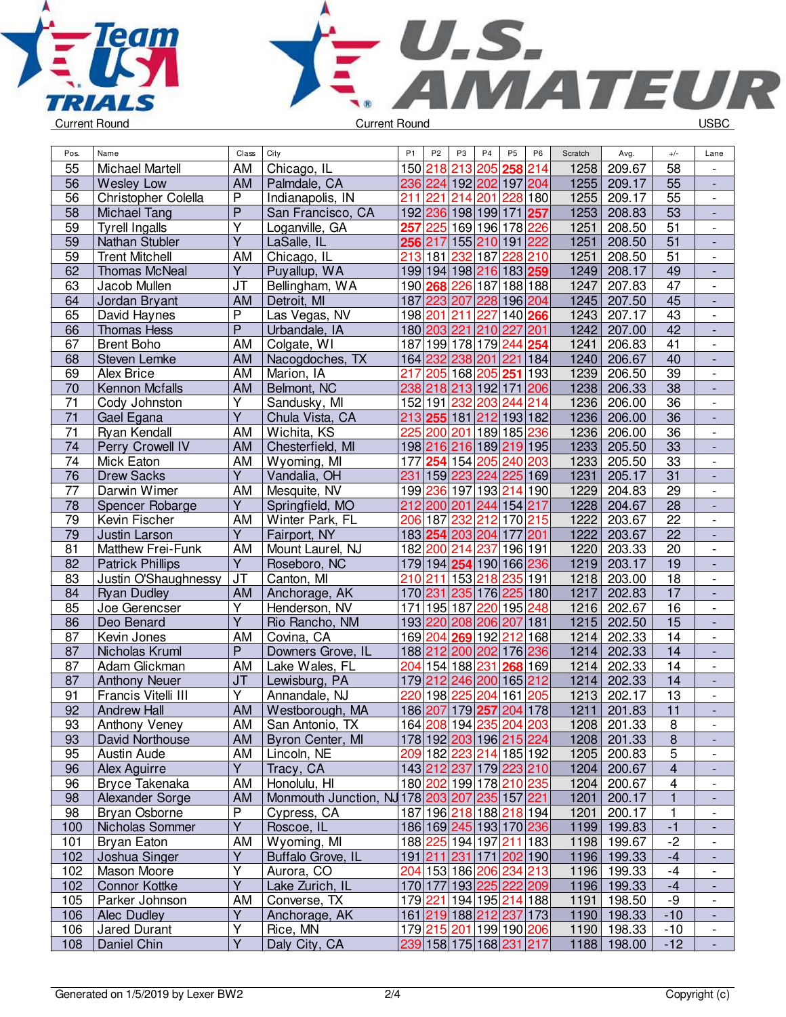



| Pos.            | Name                    | Class          | City                                         | P <sub>1</sub> | P <sub>2</sub> | P <sub>3</sub> | P <sub>4</sub>                         | P <sub>5</sub> | P <sub>6</sub> | Scratch | Avg.        | $+/-$                   | Lane                         |
|-----------------|-------------------------|----------------|----------------------------------------------|----------------|----------------|----------------|----------------------------------------|----------------|----------------|---------|-------------|-------------------------|------------------------------|
| 55              | <b>Michael Martell</b>  | AM             | Chicago, IL                                  |                | 150 218        | 213            | 205 258 214                            |                |                | 1258    | 209.67      | 58                      |                              |
| 56              | <b>Wesley Low</b>       | AM             | Palmdale, CA                                 |                |                |                | 236 224 192 202 197 204                |                |                | 1255    | 209.17      | 55                      | $\blacksquare$               |
| 56              | Christopher Colella     | $\overline{P}$ | Indianapolis, IN                             | 211            | 221            | 214            | 201                                    | 228 180        |                | 1255    | 209.17      | 55                      | $\blacksquare$               |
| 58              | <b>Michael Tang</b>     | $\overline{P}$ | San Francisco, CA                            |                |                |                | 192 236 198 199 171 257                |                |                | 1253    | 208.83      | 53                      | $\overline{\phantom{a}}$     |
| 59              | <b>Tyrell Ingalls</b>   | Y              | Loganville, GA                               | 257            |                |                | 225 169 196 178 226                    |                |                | 1251    | 208.50      | 51                      | $\overline{\phantom{a}}$     |
| 59              | Nathan Stubler          | $\overline{Y}$ | LaSalle, IL                                  |                | 256 217        |                | 155 210 191 222                        |                |                | 1251    | 208.50      | 51                      | $\overline{\phantom{a}}$     |
| 59              | <b>Trent Mitchell</b>   | AM             | Chicago, IL                                  | 213            | 181            | 232            | 187 228 210                            |                |                | 1251    | 208.50      | 51                      | $\overline{\phantom{a}}$     |
| 62              | Thomas McNeal           | $\overline{Y}$ | Puyallup, WA                                 |                |                |                | 199 194 198 216 183 259                |                |                | 1249    | 208.17      | 49                      |                              |
| 63              | Jacob Mullen            | JT             | Bellingham, WA                               |                |                |                | 190 268 226 187 188 188                |                |                | 1247    | 207.83      | $\overline{47}$         | $\overline{\phantom{a}}$     |
| 64              | Jordan Bryant           | <b>AM</b>      | Detroit, MI                                  |                |                |                | 187 223 207 228 196 204                |                |                | 1245    | 207.50      | 45                      | $\overline{a}$               |
| 65              | David Haynes            | $\overline{P}$ | Las Vegas, NV                                |                |                |                | 198 201 211 227 140 266                |                |                | 1243    | 207.17      | 43                      | $\overline{\phantom{a}}$     |
| 66              | <b>Thomas Hess</b>      | P              | Urbandale, IA                                |                |                |                | 180 203 221 210 227 201                |                |                | 1242    | 207.00      | $\overline{42}$         | $\blacksquare$               |
| 67              | <b>Brent Boho</b>       | AM             | Colgate, WI                                  |                |                |                | 187 199 178 179 244 254                |                |                | 1241    | 206.83      | 41                      | $\overline{\phantom{a}}$     |
| 68              | Steven Lemke            | <b>AM</b>      | Nacogdoches, TX                              |                |                |                | 164 232 238 201 221 184                |                |                | 1240    | 206.67      | 40                      | ÷,                           |
| 69              | Alex Brice              | AM             | Marion, IA                                   | 217            |                |                | 205 168 205 251 193                    |                |                | 1239    | 206.50      | 39                      | $\overline{\phantom{a}}$     |
| 70              | Kennon Mcfalls          | AM             | Belmont, NC                                  |                |                |                | 238 218 213 192 171 206                |                |                | 1238    | 206.33      | 38                      | $\overline{\phantom{a}}$     |
| 71              | Cody Johnston           | Υ              | Sandusky, MI                                 |                |                | 152 191 232    | 203 244 214                            |                |                | 1236    | 206.00      | $\overline{36}$         | $\overline{\phantom{a}}$     |
| $\overline{71}$ | Gael Egana              | $\overline{Y}$ | Chula Vista, CA                              |                |                |                | 213 255 181 212 193 182                |                |                | 1236    | 206.00      | 36                      |                              |
| 71              | Ryan Kendall            | AM             | Wichita, KS                                  |                |                |                | 225 200 201 189 185 236                |                |                | 1236    |             | $\overline{36}$         | $\overline{\phantom{a}}$     |
|                 |                         |                |                                              |                |                |                |                                        |                |                | 1233    | 206.00      | $\overline{33}$         |                              |
| 74              | Perry Crowell IV        | <b>AM</b>      | Chesterfield, MI                             |                |                |                | 198 216 216 189 219 195                |                |                |         | 205.50      |                         |                              |
| 74              | Mick Eaton              | AM             | Wyoming, MI                                  |                |                |                | 177 254 154 205 240 203                |                |                | 1233    | 205.50      | 33                      | $\overline{\phantom{a}}$     |
| 76              | <b>Drew Sacks</b>       | $\overline{Y}$ | Vandalia, OH                                 | 231            |                |                | 159 223 224 225 169                    |                |                | 1231    | 205.17      | 31                      | ÷,                           |
| 77              | Darwin Wimer            | AM             | Mesquite, NV                                 |                |                |                | 199 236 197 193 214 190                |                |                | 1229    | 204.83      | 29                      | $\overline{\phantom{a}}$     |
| 78              | Spencer Robarge         | $\overline{Y}$ | Springfield, MO                              |                |                |                | 212 200 201 244 154 217                |                |                | 1228    | 204.67      | 28                      | $\overline{\phantom{a}}$     |
| 79              | Kevin Fischer           | AM             | Winter Park, FL                              |                | 206 187        | 232            | 212 170 215                            |                |                | 1222    | 203.67      | 22                      | $\qquad \qquad \blacksquare$ |
| 79              | Justin Larson           | Y              | Fairport, NY                                 |                |                |                | 183 254 203 204                        | 177 201        |                | 1222    | 203.67      | 22                      | $\overline{\phantom{a}}$     |
| 81              | Matthew Frei-Funk       | AM             | Mount Laurel, NJ                             |                |                | 182 200 214    | 237 196 191                            |                |                | 1220    | 203.33      | 20                      | $\overline{\phantom{a}}$     |
| 82              | <b>Patrick Phillips</b> | Y              | Roseboro, NC                                 |                |                |                | 179 194 254 190 166 236                |                |                | 1219    | 203.17      | 19                      |                              |
| 83              | Justin O'Shaughnessy    | <b>JT</b>      | Canton, MI                                   |                |                |                | 210 211 153 218 235 191                |                |                | 1218    | 203.00      | 18                      | $\overline{\phantom{a}}$     |
| 84              | <b>Ryan Dudley</b>      | AM             | Anchorage, AK                                |                |                |                | 170 231 235 176 225 180                |                |                | 1217    | 202.83      | $\overline{17}$         | $\blacksquare$               |
| 85              | Joe Gerencser           | Υ              | Henderson, NV                                |                |                |                | 171 195 187 220 195 248                |                |                | 1216    | 202.67      | 16                      | $\blacksquare$               |
| 86              | Deo Benard              | $\overline{Y}$ | Rio Rancho, NM                               |                |                |                | 193 220 208 206 207 181                |                |                | 1215    | 202.50      | 15                      | ÷,                           |
| 87              | Kevin Jones             | AM             | Covina, CA                                   |                |                |                | 169 204 269 192 212                    |                | 168            | 1214    | 202.33      | 14                      | $\overline{\phantom{a}}$     |
| 87              | Nicholas Kruml          | $\mathsf{P}$   | Downers Grove, IL                            |                |                |                | 188 212 200 202 176 236                |                |                | 1214    | 202.33      | 14                      | $\overline{\phantom{a}}$     |
| 87              | Adam Glickman           | AM             | Lake Wales, FL                               |                |                |                | 204 154 188 231 268 169                |                |                | 1214    | 202.33      | 14                      | $\overline{\phantom{a}}$     |
| 87              | <b>Anthony Neuer</b>    | JT             | Lewisburg, PA                                |                |                |                | 179 212 246 200 165 212                |                |                | 1214    | 202.33      | 14                      | $\overline{\phantom{a}}$     |
| 91              | Francis Vitelli III     | $\overline{Y}$ | Annandale, NJ                                |                |                |                | 220 198 225 204 161 205                |                |                | 1213    | 202.17      | 13                      | $\overline{\phantom{a}}$     |
| 92              | <b>Andrew Hall</b>      | AM             | Westborough, MA                              |                |                |                | 186 207 179 257 204 178                |                |                | 1211    | 201.83      | 11                      |                              |
| 93              | <b>Anthony Veney</b>    |                | AM San Antonio, TX                           |                |                |                | 164 208 194 235 204 203                |                |                |         | 1208 201.33 | $\infty$                | $\overline{\phantom{a}}$     |
| 93              | David Northouse         | AM             | Byron Center, MI                             |                |                |                | 178 192 203 196 215 224                |                |                |         | 1208 201.33 | $\bf 8$                 |                              |
| 95              | Austin Aude             | AM             | Lincoln, NE                                  |                |                |                | 209 182 223 214 185 192                |                |                | 1205    | 200.83      | 5                       | $\overline{\phantom{a}}$     |
| 96              | Alex Aguirre            | Y.             | Tracy, CA                                    |                |                |                | 143212237179223210                     |                |                | 1204    | 200.67      | $\overline{4}$          | $\overline{\phantom{a}}$     |
| 96              | Bryce Takenaka          | AM             | Honolulu, HI                                 |                |                |                | 180 202 199 178 210 235                |                |                | 1204    | 200.67      | $\overline{\mathbf{4}}$ | $\overline{\phantom{a}}$     |
| 98              | Alexander Sorge         | AM             | Monmouth Junction, NJ178 203 207 235 157 221 |                |                |                |                                        |                |                | 1201    | 200.17      | $\mathbf{1}$            | $\overline{\phantom{0}}$     |
| 98              | Bryan Osborne           | P              | Cypress, CA                                  |                |                |                | 187 196 218 188 218 194                |                |                | 1201    | 200.17      | 1                       | $\overline{\phantom{a}}$     |
| 100             | Nicholas Sommer         | $\overline{Y}$ | Roscoe, IL                                   |                |                |                | 186 169 245 193 170 236                |                |                | 1199    | 199.83      | $-1$                    | $\overline{\phantom{a}}$     |
| 101             | Bryan Eaton             | AM             | Wyoming, MI                                  |                |                |                | 188 225 194 197 211 183                |                |                | 1198    | 199.67      | $-2$                    | $\overline{\phantom{a}}$     |
| 102             | Joshua Singer           | Υ              | Buffalo Grove, IL                            |                |                |                | 191 211 231 171 202 190                |                |                |         | 1196 199.33 | $-4$                    |                              |
| 102             | Mason Moore             | Υ              | Aurora, CO                                   |                |                |                | 204 153 186  <mark>206</mark>  234 213 |                |                | 1196    | 199.33      | $-4$                    | $\overline{\phantom{a}}$     |
| 102             | <b>Connor Kottke</b>    | Y              | Lake Zurich, IL                              |                |                |                | 170 177 193 225 222 209                |                |                |         | 1196 199.33 | $-4$                    |                              |
| 105             | Parker Johnson          | AM             | Converse, TX                                 |                |                |                | 179 221 194 195 214 188                |                |                | 1191    | 198.50      | -9                      | $\overline{\phantom{a}}$     |
| 106             | Alec Dudley             | Y              | Anchorage, AK                                |                |                |                | 161 219 188 212 237 173                |                |                |         | 1190 198.33 | $-10$                   | $\overline{\phantom{a}}$     |
| 106             | <b>Jared Durant</b>     | Υ              | Rice, MN                                     |                |                |                | 179 215 201 199 190 206                |                |                |         | 1190 198.33 | $-10$                   | $\overline{\phantom{a}}$     |
| 108             | Daniel Chin             | Y              | Daly City, CA                                |                |                |                | 239 158 175 168 231 217                |                |                |         | 1188 198.00 | $-12$                   | $\overline{\phantom{a}}$     |
|                 |                         |                |                                              |                |                |                |                                        |                |                |         |             |                         |                              |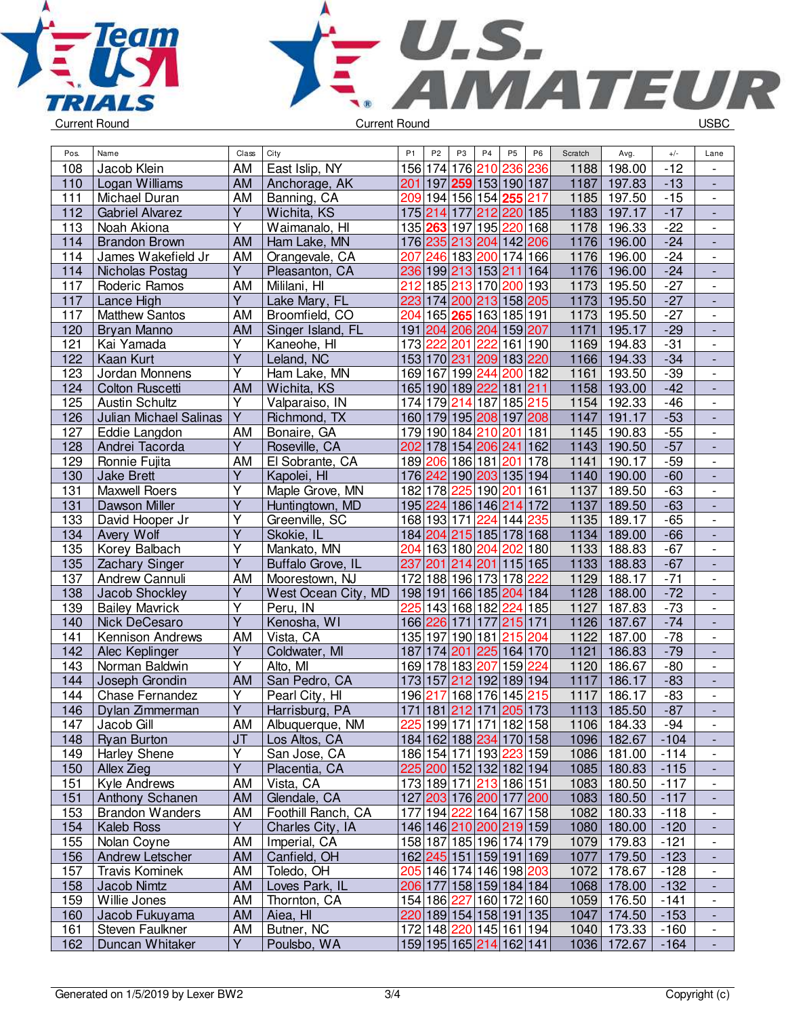



| Pos. | Name                   | Class                   | City                | P <sub>1</sub> | P <sub>2</sub> | P <sub>3</sub> | P <sub>4</sub>      | <b>P5</b>                                      | P <sub>6</sub> | Scratch | Avg.        | $+/-$  | Lane                     |
|------|------------------------|-------------------------|---------------------|----------------|----------------|----------------|---------------------|------------------------------------------------|----------------|---------|-------------|--------|--------------------------|
| 108  | Jacob Klein            | <b>AM</b>               | East Islip, NY      |                |                |                | 156 174 176 210     | 236                                            | 236            | 1188    | 198.00      | $-12$  | $\blacksquare$           |
| 110  | Logan Williams         | AM                      | Anchorage, AK       | 201            |                |                |                     | 197 259 153 190 187                            |                | 1187    | 197.83      | $-13$  | ÷,                       |
| 111  | Michael Duran          | AM                      | Banning, CA         |                |                |                |                     | 209 194 156 154 <mark>255</mark> 217           |                | 1185    | 197.50      | $-15$  | $\blacksquare$           |
| 112  | <b>Gabriel Alvarez</b> | $\overline{Y}$          | Wichita, KS         |                | 175 214        | 177            |                     | 212 220 185                                    |                | 1183    | 197.17      | $-17$  | $\blacksquare$           |
| 113  | Noah Akiona            | Y                       | Waimanalo, HI       |                |                | 135 263 197    | 195 220             |                                                | 168            | 1178    | 196.33      | $-22$  | $\overline{\phantom{a}}$ |
| 114  | <b>Brandon Brown</b>   | <b>AM</b>               | Ham Lake, MN        |                |                |                |                     | 176 235 213 204 142 206                        |                | 1176    | 196.00      | $-24$  | $\frac{1}{2}$            |
| 114  | James Wakefield Jr     | AM                      | Orangevale, CA      | 207            | 246            |                | 183 200             | $\sqrt{174}$ 166                               |                | 1176    | 196.00      | $-24$  | $\overline{\phantom{a}}$ |
| 114  | Nicholas Postag        | Y                       | Pleasanton, CA      | 236            |                |                | 199 213 153 211     |                                                | 164            | 1176    | 196.00      | $-24$  | $\overline{\phantom{a}}$ |
| 117  | Roderic Ramos          | AM                      | Mililani, HI        | 212            |                |                | 185 213 170         | 200 193                                        |                | 1173    | 195.50      | $-27$  |                          |
| 117  | Lance High             | Y                       | Lake Mary, FL       | 223            |                |                |                     | 174 200 213 158 205                            |                | 1173    | 195.50      | $-27$  |                          |
| 117  | <b>Matthew Santos</b>  | AM                      | Broomfield, CO      | 204            | 165            | 265            | 163                 | 185 191                                        |                | 1173    | 195.50      | $-27$  | $\overline{\phantom{a}}$ |
| 120  | Bryan Manno            | AM                      | Singer Island, FL   | 191            |                |                |                     | 204 206 204 159 207                            |                | 1171    | 195.17      | $-29$  | $\blacksquare$           |
| 121  | Kai Yamada             | $\overline{Y}$          |                     |                | 222            | 201            | 222                 | 161 190                                        |                | 1169    | 194.83      | $-31$  | $\overline{a}$           |
| 122  | Kaan Kurt              | $\overline{Y}$          | Kaneohe, HI         | 173            | 153 170 231    |                | 209                 |                                                |                | 1166    | 194.33      | $-34$  | $\blacksquare$           |
|      |                        | Ý                       | Leland, NC          |                |                |                |                     | 183 220                                        |                |         |             |        |                          |
| 123  | Jordan Monnens         |                         | Ham Lake, MN        |                | 169 167        |                | 199 244             | 200 182                                        |                | 1161    | 193.50      | $-39$  | $\overline{\phantom{a}}$ |
| 124  | <b>Colton Ruscetti</b> | AM                      | Wichita, KS         |                |                |                | 165 190 189 222     | 181 211                                        |                | 1158    | 193.00      | $-42$  |                          |
| 125  | <b>Austin Schultz</b>  | $\overline{\mathsf{Y}}$ | Valparaiso, IN      |                | 174 179        | 214            | 187                 | 185 215                                        |                | 1154    | 192.33      | $-46$  | $\overline{\phantom{a}}$ |
| 126  | Julian Michael Salinas | Y                       | Richmond, TX        |                |                |                |                     | 160 179 195 208 197 208                        |                | 1147    | 191.17      | $-53$  | $\overline{\phantom{a}}$ |
| 127  | Eddie Langdon          | AM                      | Bonaire, GA         |                |                |                | 179 190 184 210     | 201                                            | 181            | 1145    | 190.83      | $-55$  | $\overline{\phantom{a}}$ |
| 128  | Andrei Tacorda         | Y                       | Roseville, CA       | 202            |                |                | 178 154 206 241     |                                                | 162            | 1143    | 190.50      | $-57$  |                          |
| 129  | Ronnie Fujita          | AM                      | El Sobrante, CA     |                |                |                | 189 206 186 181     | 201                                            | 178            | 1141    | 190.17      | $-59$  | $\overline{\phantom{a}}$ |
| 130  | <b>Jake Brett</b>      | $\overline{Y}$          | Kapolei, HI         |                |                |                |                     | 176 242 190 203 135 194                        |                | 1140    | 190.00      | $-60$  | $\blacksquare$           |
| 131  | <b>Maxwell Roers</b>   | Υ                       | Maple Grove, MN     |                | 182 178        | 225            |                     | 190 201 161                                    |                | 1137    | 189.50      | $-63$  | $\blacksquare$           |
| 131  | Dawson Miller          | $\overline{Y}$          | Huntingtown, MD     |                |                |                |                     | 195 224 186 146 214                            | 172            | 1137    | 189.50      | $-63$  | $\blacksquare$           |
| 133  | David Hooper Jr        | $\overline{\mathsf{Y}}$ | Greenville, SC      |                |                | 168 193 171    |                     | 224 144                                        | 235            | 1135    | 189.17      | $-65$  | $\blacksquare$           |
| 134  | Avery Wolf             | $\overline{Y}$          | Skokie, IL          |                |                |                |                     | 184 204 215 185 178 168                        |                | 1134    | 189.00      | $-66$  | $\frac{1}{2}$            |
| 135  | Korey Balbach          | $\overline{\mathsf{Y}}$ | Mankato, MN         | 204            |                |                | 163 180 204         | 202                                            | 180            | 1133    | 188.83      | $-67$  | $\overline{\phantom{a}}$ |
| 135  | Zachary Singer         | Υ                       | Buffalo Grove, IL   | 237            | 201            |                | 214 201             | 115 165                                        |                | 1133    | 188.83      | $-67$  | $\blacksquare$           |
| 137  | Andrew Cannuli         | <b>AM</b>               | Moorestown, NJ      | 172            |                |                | 188 196 173         | 178                                            | 222            | 1129    | 188.17      | $-71$  |                          |
| 138  | Jacob Shockley         | Υ                       | West Ocean City, MD |                |                |                | 198 191 166 185 204 |                                                | 184            | 1128    | 188.00      | $-72$  |                          |
| 139  | <b>Bailey Mavrick</b>  | Ÿ                       | Peru, IN            | 225            | 143            |                | 168 182             | 224                                            | 185            | 1127    | 187.83      | $-73$  | $\overline{\phantom{a}}$ |
| 140  | Nick DeCesaro          | $\overline{Y}$          | Kenosha, WI         |                | 166 226        | 171            | 177                 | 215 171                                        |                | 1126    | 187.67      | $-74$  | $\Box$                   |
| 141  | Kennison Andrews       | AM                      | Vista, CA           |                | 135 197        |                | 190 181             | 215                                            | 204            | 1122    | 187.00      | $-78$  | $\overline{\phantom{a}}$ |
| 142  | Alec Keplinger         | Y                       | Coldwater, MI       | 187            | 174 201        |                |                     | 225 164 170                                    |                | 1121    | 186.83      | $-79$  | $\blacksquare$           |
| 143  | Norman Baldwin         | $\overline{\mathsf{Y}}$ | Alto, MI            |                |                |                | 169 178 183 207     | 159                                            | 224            | 1120    | 186.67      | $-80$  | $\blacksquare$           |
| 144  | Joseph Grondin         | <b>AM</b>               | San Pedro, CA       |                | 173 157        | 212            | 192                 | 189 194                                        |                | 1117    | 186.17      | $-83$  | $\frac{1}{2}$            |
| 144  | <b>Chase Fernandez</b> | Υ                       | Pearl City, HI      | 196            | 217            | 168            | 176                 | 145                                            | 215            | 1117    | 186.17      | $-83$  | $\overline{\phantom{a}}$ |
| 146  | Dylan Zimmerman        | Y                       | Harrisburg, PA      | 171            | 181            |                | 212 171             | 205 173                                        |                | 1113    | 185.50      | $-87$  |                          |
| 147  | Jacob Gill             | AM                      | Albuquerque, NM     |                |                |                |                     | 225 199 171 171 182 158                        |                |         | 1106 184.33 | -94    | $\overline{\phantom{a}}$ |
| 148  | <b>Ryan Burton</b>     | JT                      | Los Altos, CA       |                |                |                |                     | 184 162 188 234 170 158                        |                | 1096    | 182.67      | $-104$ | ٠                        |
| 149  | Harley Shene           | Υ                       | San Jose, CA        |                |                |                |                     | 186 154 171 193 223 159                        |                | 1086    | 181.00      | $-114$ | $\overline{\phantom{a}}$ |
| 150  | Allex Zieg             | $\overline{Y}$          | Placentia, CA       |                |                |                |                     | 225 200 152 132 182 194                        |                | 1085    | 180.83      | $-115$ |                          |
| 151  | Kyle Andrews           | AM                      | Vista, CA           |                |                |                |                     | 173 189 171 213 186 151                        |                | 1083    | 180.50      | $-117$ |                          |
| 151  | Anthony Schanen        | <b>AM</b>               | Glendale, CA        |                |                |                |                     | 127 203 176 200 177 200                        |                | 1083    | 180.50      | $-117$ |                          |
| 153  | <b>Brandon Wanders</b> | AM                      | Foothill Ranch, CA  |                |                |                |                     | 177 194 222 164 167 158                        |                | 1082    | 180.33      | $-118$ | $\overline{\phantom{a}}$ |
| 154  | <b>Kaleb Ross</b>      | Y                       | Charles City, IA    |                |                |                |                     | 146 146 210 200 219 159                        |                | 1080    | 180.00      | $-120$ | ÷,                       |
| 155  | Nolan Coyne            | AM                      | Imperial, CA        |                |                |                |                     | 158 187 185 196 174 179                        |                | 1079    | 179.83      | $-121$ | $\overline{\phantom{a}}$ |
| 156  | Andrew Letscher        | <b>AM</b>               | Canfield, OH        |                |                |                |                     | 162 245 151 159 191 169                        |                | 1077    | 179.50      | $-123$ | $\overline{\phantom{a}}$ |
| 157  | <b>Travis Kominek</b>  |                         | Toledo, OH          |                |                |                |                     | 205   146   174   146   198   <mark>203</mark> |                | 1072    | 178.67      |        |                          |
|      | Jacob Nimtz            | AM                      | Loves Park, IL      |                |                |                |                     |                                                |                | 1068    |             | $-128$ | $\overline{\phantom{a}}$ |
| 158  |                        | <b>AM</b>               |                     |                |                |                |                     | 206 177 158 159 184 184                        |                |         | 178.00      | $-132$ | $\overline{\phantom{a}}$ |
| 159  | Willie Jones           | AM                      | Thornton, CA        |                |                | 154 186 227    |                     | 160 172 160                                    |                | 1059    | 176.50      | $-141$ | $\overline{\phantom{a}}$ |
| 160  | Jacob Fukuyama         | AM                      | Aiea, HI            |                |                |                |                     | 220 189 154 158 191 135                        |                | 1047    | 174.50      | $-153$ | $\overline{\phantom{a}}$ |
| 161  | Steven Faulkner        | AM<br>$\overline{Y}$    | Butner, NC          |                |                |                |                     | 172 148 220 145 161 194                        |                | 1040    | 173.33      | $-160$ | $\overline{\phantom{a}}$ |
| 162  | Duncan Whitaker        |                         | Poulsbo, WA         |                |                |                |                     | 159 195 165 214 162 141                        |                | 1036    | 172.67      | $-164$ | $\Box$                   |